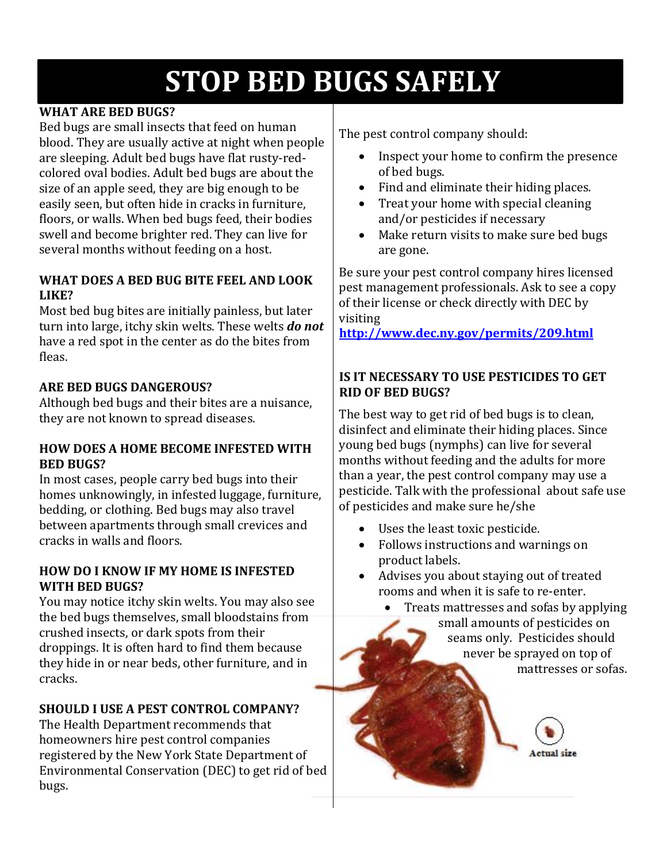# **STOP BED BUGS SAFELY**

## **WHAT ARE BED BUGS?**

Bed bugs are small insects that feed on human blood. They are usually active at night when people are sleeping. Adult bed bugs have flat rusty-redcolored oval bodies. Adult bed bugs are about the size of an apple seed, they are big enough to be easily seen, but often hide in cracks in furniture, floors, or walls. When bed bugs feed, their bodies swell and become brighter red. They can live for several months without feeding on a host.

#### **WHAT DOES A BED BUG BITE FEEL AND LOOK LIKE?**

Most bed bug bites are initially painless, but later turn into large, itchy skin welts. These welts *do not* have a red spot in the center as do the bites from fleas.

# **ARE BED BUGS DANGEROUS?**

Although bed bugs and their bites are a nuisance, they are not known to spread diseases.

#### **HOW DOES A HOME BECOME INFESTED WITH BED BUGS?**

In most cases, people carry bed bugs into their homes unknowingly, in infested luggage, furniture, bedding, or clothing. Bed bugs may also travel between apartments through small crevices and cracks in walls and floors.

#### **HOW DO I KNOW IF MY HOME IS INFESTED WITH BED BUGS?**

You may notice itchy skin welts. You may also see the bed bugs themselves, small bloodstains from crushed insects, or dark spots from their droppings. It is often hard to find them because they hide in or near beds, other furniture, and in cracks.

# **SHOULD I USE A PEST CONTROL COMPANY?**

The Health Department recommends that homeowners hire pest control companies registered by the New York State Department of Environmental Conservation (DEC) to get rid of bed bugs.

The pest control company should:

- Inspect your home to confirm the presence of bed bugs.
- Find and eliminate their hiding places.
- Treat your home with special cleaning and/or pesticides if necessary
- Make return visits to make sure bed bugs are gone.

Be sure your pest control company hires licensed pest management professionals. Ask to see a copy of their license or check directly with DEC by visiting

**<http://www.dec.ny.gov/permits/209.html>**

## **IS IT NECESSARY TO USE PESTICIDES TO GET RID OF BED BUGS?**

The best way to get rid of bed bugs is to clean, disinfect and eliminate their hiding places. Since young bed bugs (nymphs) can live for several months without feeding and the adults for more than a year, the pest control company may use a pesticide. Talk with the professional about safe use of pesticides and make sure he/she

- Uses the least toxic pesticide.
- Follows instructions and warnings on product labels.
- Advises you about staying out of treated rooms and when it is safe to re-enter.
	- Treats mattresses and sofas by applying small amounts of pesticides on seams only. Pesticides should never be sprayed on top of mattresses or sofas.

Actual size